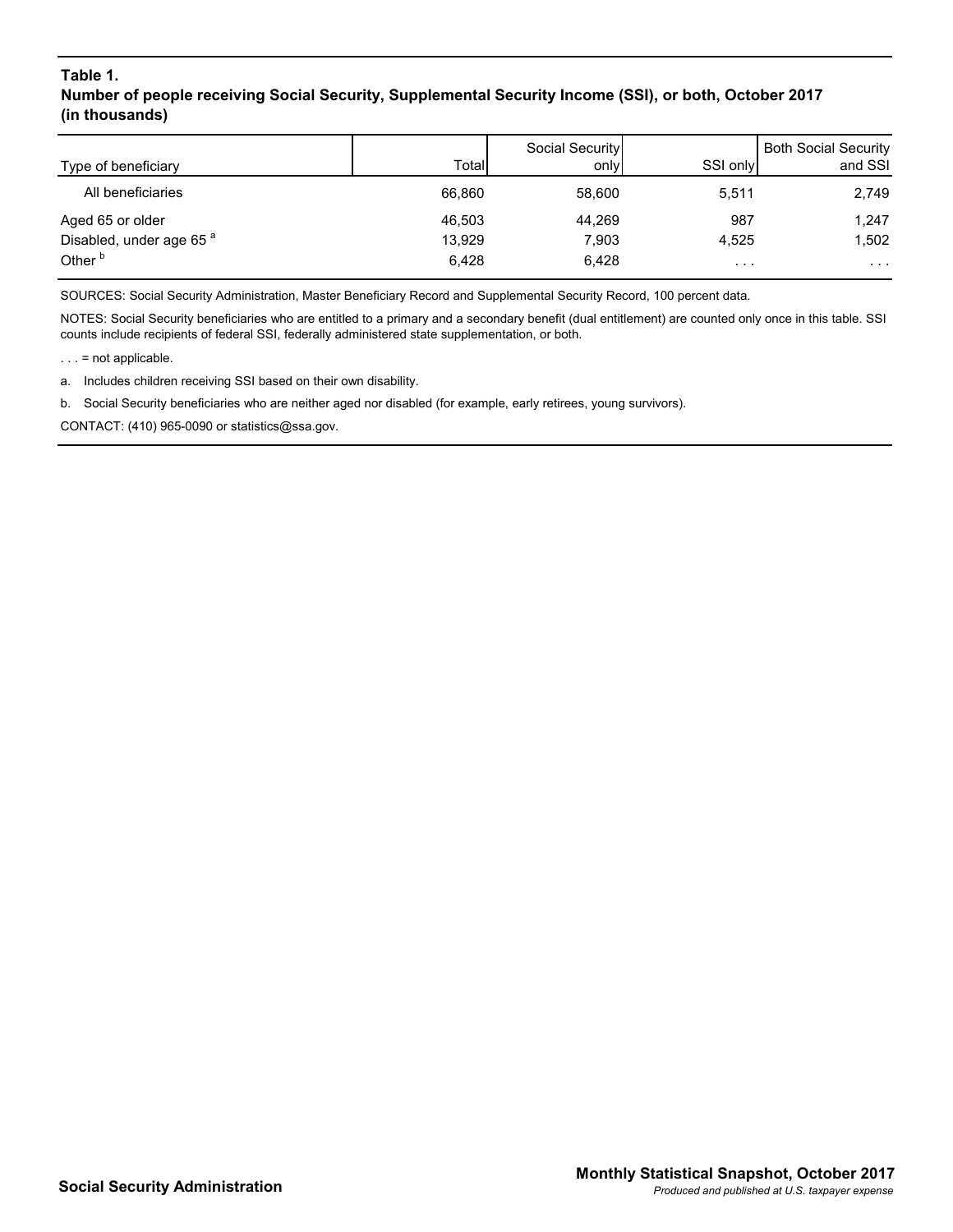## **Table 1. Number of people receiving Social Security, Supplemental Security Income (SSI), or both, October 2017 (in thousands)**

| Type of beneficiary                 | Total  | Social Security<br>only | SSI only             | <b>Both Social Security</b><br>and SSI |
|-------------------------------------|--------|-------------------------|----------------------|----------------------------------------|
|                                     |        |                         |                      |                                        |
| All beneficiaries                   | 66.860 | 58.600                  | 5,511                | 2,749                                  |
| Aged 65 or older                    | 46,503 | 44,269                  | 987                  | 1,247                                  |
| Disabled, under age 65 <sup>a</sup> | 13,929 | 7.903                   | 4.525                | 1,502                                  |
| Other <sup>b</sup>                  | 6.428  | 6,428                   | $\sim$ $\sim$ $\sim$ | $\sim$ $\sim$                          |

SOURCES: Social Security Administration, Master Beneficiary Record and Supplemental Security Record, 100 percent data.

NOTES: Social Security beneficiaries who are entitled to a primary and a secondary benefit (dual entitlement) are counted only once in this table. SSI counts include recipients of federal SSI, federally administered state supplementation, or both.

. . . = not applicable.

a. Includes children receiving SSI based on their own disability.

b. Social Security beneficiaries who are neither aged nor disabled (for example, early retirees, young survivors).

CONTACT: (410) 965-0090 or statistics@ssa.gov.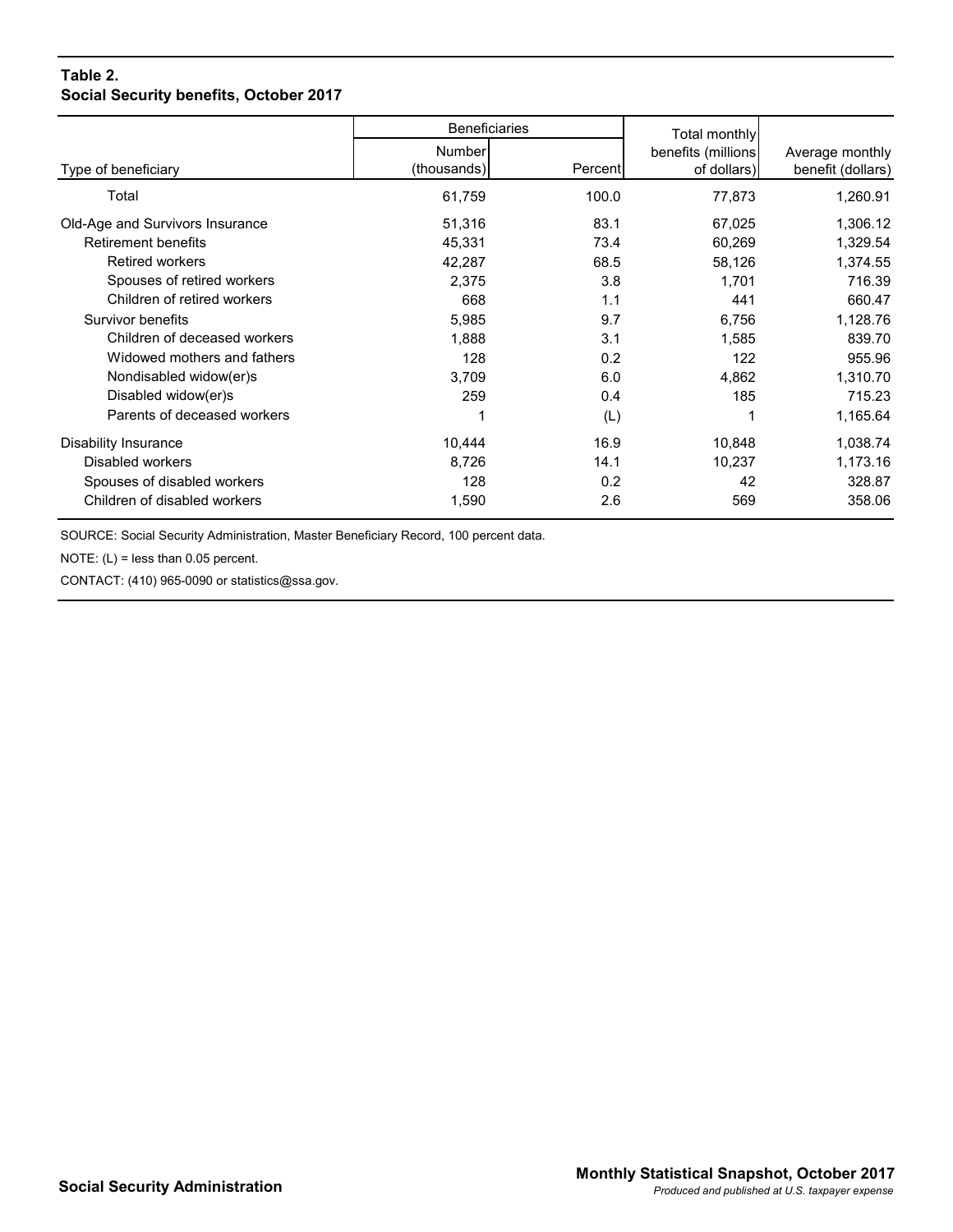## **Table 2. Social Security benefits, October 2017**

|                                 | <b>Beneficiaries</b> |         | Total monthly       |                   |
|---------------------------------|----------------------|---------|---------------------|-------------------|
|                                 | Number               |         | benefits (millions) | Average monthly   |
| Type of beneficiary             | (thousands)          | Percent | of dollars)         | benefit (dollars) |
| Total                           | 61,759               | 100.0   | 77,873              | 1,260.91          |
| Old-Age and Survivors Insurance | 51,316               | 83.1    | 67,025              | 1,306.12          |
| <b>Retirement benefits</b>      | 45,331               | 73.4    | 60,269              | 1,329.54          |
| <b>Retired workers</b>          | 42,287               | 68.5    | 58,126              | 1,374.55          |
| Spouses of retired workers      | 2,375                | 3.8     | 1,701               | 716.39            |
| Children of retired workers     | 668                  | 1.1     | 441                 | 660.47            |
| Survivor benefits               | 5,985                | 9.7     | 6,756               | 1,128.76          |
| Children of deceased workers    | 1,888                | 3.1     | 1,585               | 839.70            |
| Widowed mothers and fathers     | 128                  | 0.2     | 122                 | 955.96            |
| Nondisabled widow(er)s          | 3,709                | 6.0     | 4,862               | 1,310.70          |
| Disabled widow(er)s             | 259                  | 0.4     | 185                 | 715.23            |
| Parents of deceased workers     |                      | (L)     |                     | 1,165.64          |
| Disability Insurance            | 10,444               | 16.9    | 10,848              | 1,038.74          |
| Disabled workers                | 8,726                | 14.1    | 10,237              | 1,173.16          |
| Spouses of disabled workers     | 128                  | 0.2     | 42                  | 328.87            |
| Children of disabled workers    | 1,590                | 2.6     | 569                 | 358.06            |

SOURCE: Social Security Administration, Master Beneficiary Record, 100 percent data.

NOTE:  $(L)$  = less than 0.05 percent.

CONTACT: (410) 965-0090 or statistics@ssa.gov.